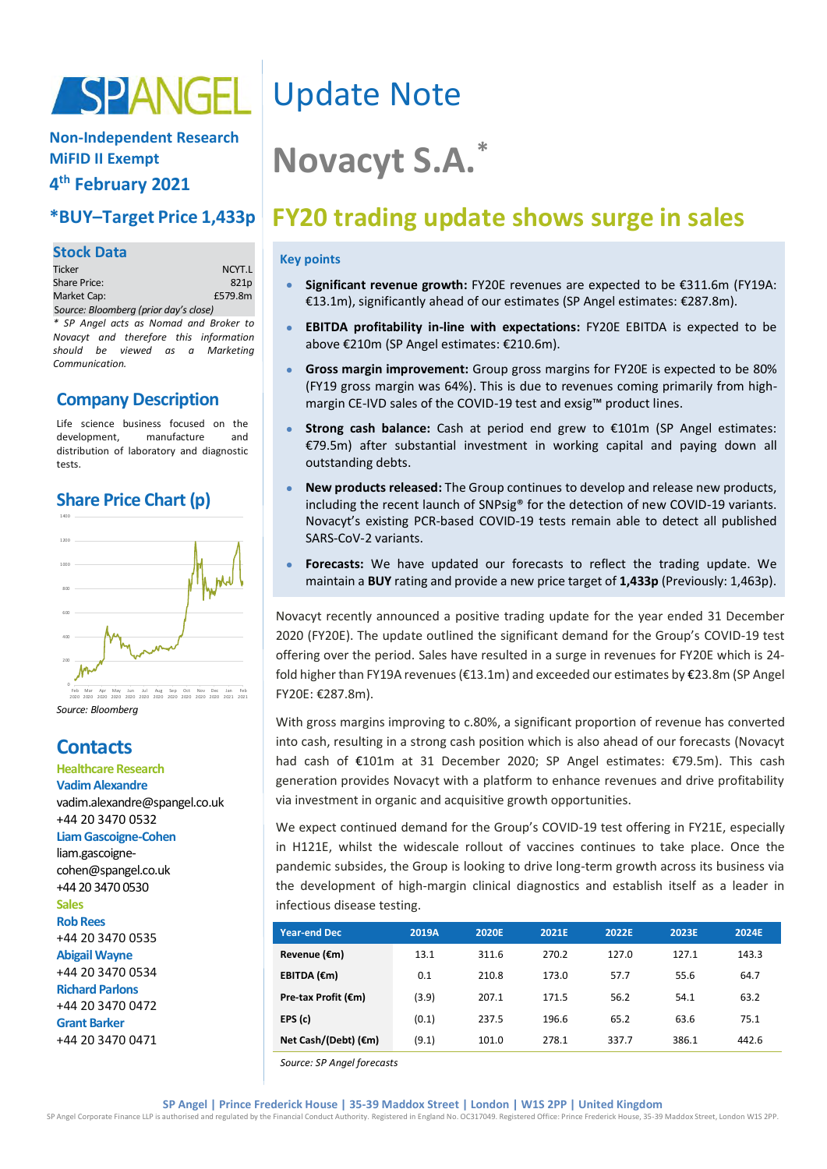

### **Non-Independent Research MiFID II Exempt**

**4 th February 2021**

## **\*BUY–Target Price 1,433p**

## **Stock Data**

| Ticker                                | NCYT.L           |  |  |  |
|---------------------------------------|------------------|--|--|--|
| <b>Share Price:</b>                   | 821 <sub>p</sub> |  |  |  |
| Market Cap:                           | £579.8m          |  |  |  |
| Source: Bloomberg (prior day's close) |                  |  |  |  |

*\* SP Angel acts as Nomad and Broker to Novacyt and therefore this information should be viewed as a Marketing Communication.*

## **Company Description**

Life science business focused on the development, manufacture and distribution of laboratory and diagnostic tests.

## **Share Price Chart (p)**



*Source: Bloomberg*

## **Contacts**

#### **Healthcare Research Vadim Alexandre** vadim.alexandre@spangel.co.uk

+44 20 3470 0532

#### **Liam Gascoigne-Cohen**

liam.gascoignecohen@spangel.co.uk +44 20 3470 0530

#### **Sales**

**Rob Rees** +44 20 3470 0535

**Abigail Wayne** +44 20 3470 0534 **Richard Parlons** +44 20 3470 0472 **Grant Barker** +44 20 3470 0471

## Update Note

# **Novacyt S.A.\***

## **FY20 trading update shows surge in sales**

#### **Key points**

- **Significant revenue growth:** FY20E revenues are expected to be €311.6m (FY19A: €13.1m), significantly ahead of our estimates (SP Angel estimates: €287.8m).
- **EBITDA profitability in-line with expectations:** FY20E EBITDA is expected to be above €210m (SP Angel estimates: €210.6m).
- **Gross margin improvement:** Group gross margins for FY20E is expected to be 80% (FY19 gross margin was 64%). This is due to revenues coming primarily from highmargin CE-IVD sales of the COVID-19 test and exsig™ product lines.
- **Strong cash balance:** Cash at period end grew to €101m (SP Angel estimates: €79.5m) after substantial investment in working capital and paying down all outstanding debts.
- **New products released:** The Group continues to develop and release new products, including the recent launch of SNPsig® for the detection of new COVID-19 variants. Novacyt's existing PCR-based COVID-19 tests remain able to detect all published SARS-CoV-2 variants.
- **Forecasts:** We have updated our forecasts to reflect the trading update. We maintain a **BUY** rating and provide a new price target of **1,433p** (Previously: 1,463p).

Novacyt recently announced a positive trading update for the year ended 31 December 2020 (FY20E). The update outlined the significant demand for the Group's COVID-19 test offering over the period. Sales have resulted in a surge in revenues for FY20E which is 24 fold higher than FY19A revenues (€13.1m) and exceeded our estimates by €23.8m (SP Angel FY20E: €287.8m).

With gross margins improving to c.80%, a significant proportion of revenue has converted into cash, resulting in a strong cash position which is also ahead of our forecasts (Novacyt had cash of €101m at 31 December 2020; SP Angel estimates: €79.5m). This cash generation provides Novacyt with a platform to enhance revenues and drive profitability via investment in organic and acquisitive growth opportunities.

We expect continued demand for the Group's COVID-19 test offering in FY21E, especially in H121E, whilst the widescale rollout of vaccines continues to take place. Once the pandemic subsides, the Group is looking to drive long-term growth across its business via the development of high-margin clinical diagnostics and establish itself as a leader in infectious disease testing.

| <b>Year-end Dec</b>            | 2019A | <b>2020E</b> | 2021E | 2022E | 2023E | 2024E |
|--------------------------------|-------|--------------|-------|-------|-------|-------|
| Revenue (€m)                   | 13.1  | 311.6        | 270.2 | 127.0 | 127.1 | 143.3 |
| EBITDA (€m)                    | 0.1   | 210.8        | 173.0 | 57.7  | 55.6  | 64.7  |
| Pre-tax Profit (€m)            | (3.9) | 207.1        | 171.5 | 56.2  | 54.1  | 63.2  |
| EPS(c)                         | (0.1) | 237.5        | 196.6 | 65.2  | 63.6  | 75.1  |
| Net Cash/(Debt) $(\epsilon m)$ | (9.1) | 101.0        | 278.1 | 337.7 | 386.1 | 442.6 |

*Source: SP Angel forecasts*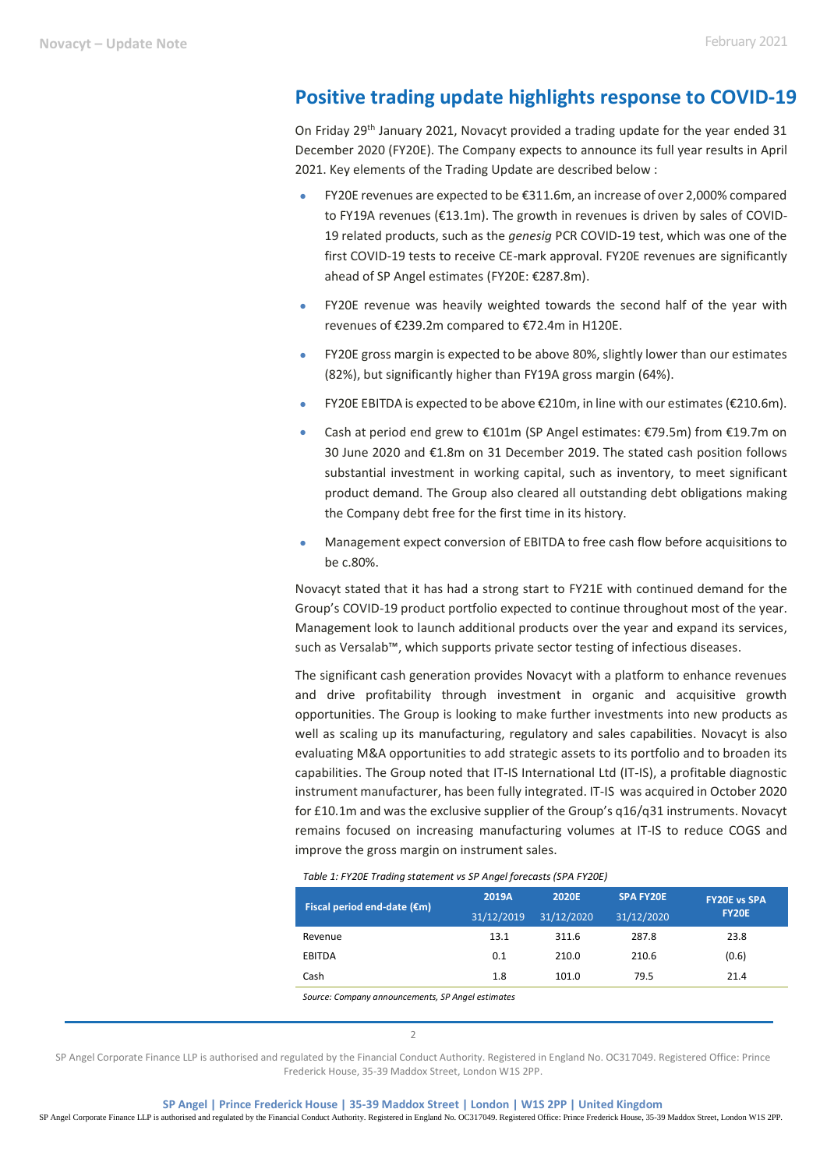## **Positive trading update highlights response to COVID-19**

On Friday 29th January 2021, Novacyt provided a trading update for the year ended 31 December 2020 (FY20E). The Company expects to announce its full year results in April 2021. Key elements of the Trading Update are described below :

- FY20E revenues are expected to be €311.6m, an increase of over 2,000% compared to FY19A revenues (€13.1m). The growth in revenues is driven by sales of COVID-19 related products, such as the *genesig* PCR COVID-19 test, which was one of the first COVID-19 tests to receive CE-mark approval. FY20E revenues are significantly ahead of SP Angel estimates (FY20E: €287.8m).
- FY20E revenue was heavily weighted towards the second half of the year with revenues of €239.2m compared to €72.4m in H120E.
- FY20E gross margin is expected to be above 80%, slightly lower than our estimates (82%), but significantly higher than FY19A gross margin (64%).
- FY20E EBITDA is expected to be above €210m, in line with our estimates (€210.6m).
- Cash at period end grew to €101m (SP Angel estimates: €79.5m) from €19.7m on 30 June 2020 and €1.8m on 31 December 2019. The stated cash position follows substantial investment in working capital, such as inventory, to meet significant product demand. The Group also cleared all outstanding debt obligations making the Company debt free for the first time in its history.
- Management expect conversion of EBITDA to free cash flow before acquisitions to be c.80%.

Novacyt stated that it has had a strong start to FY21E with continued demand for the Group's COVID-19 product portfolio expected to continue throughout most of the year. Management look to launch additional products over the year and expand its services, such as Versalab™, which supports private sector testing of infectious diseases.

The significant cash generation provides Novacyt with a platform to enhance revenues and drive profitability through investment in organic and acquisitive growth opportunities. The Group is looking to make further investments into new products as well as scaling up its manufacturing, regulatory and sales capabilities. Novacyt is also evaluating M&A opportunities to add strategic assets to its portfolio and to broaden its capabilities. The Group noted that IT-IS International Ltd (IT-IS), a profitable diagnostic instrument manufacturer, has been fully integrated. IT-IS was acquired in October 2020 for £10.1m and was the exclusive supplier of the Group's q16/q31 instruments. Novacyt remains focused on increasing manufacturing volumes at IT-IS to reduce COGS and improve the gross margin on instrument sales.

*Table 1: FY20E Trading statement vs SP Angel forecasts (SPA FY20E)*

| Fiscal period end-date $(\epsilon m)$     | 2019A      | 2020E      | <b>SPA FY20E</b> | <b>FY20E vs SPA</b> |
|-------------------------------------------|------------|------------|------------------|---------------------|
|                                           | 31/12/2019 | 31/12/2020 | 31/12/2020       | <b>FY20E</b>        |
| Revenue                                   | 13.1       | 311.6      | 287.8            | 23.8                |
| <b>EBITDA</b>                             | 0.1        | 210.0      | 210.6            | (0.6)               |
| Cash                                      | 1.8        | 101.0      | 79.5             | 21.4                |
| $\sim$ $\sim$ $\sim$ $\sim$ $\sim$ $\sim$ | .          |            |                  |                     |

*Source: Company announcements, SP Angel estimates*

 $\overline{2}$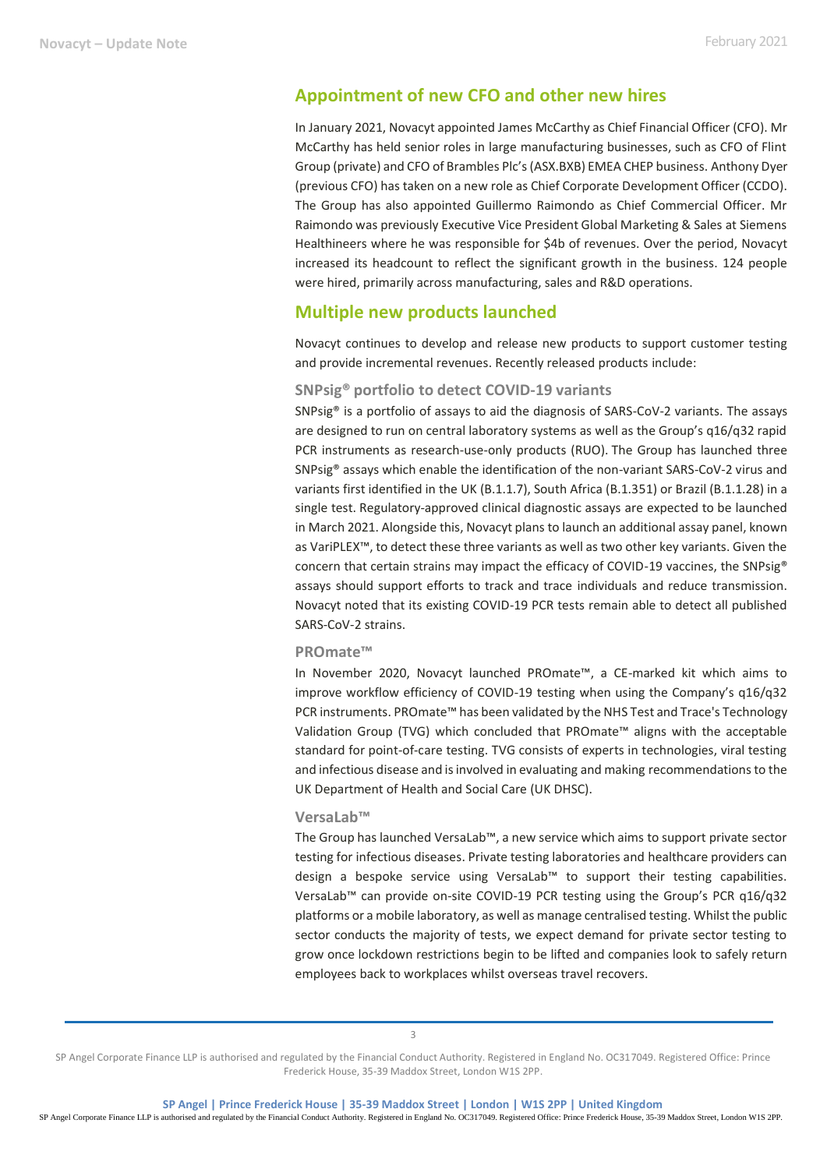## **Appointment of new CFO and other new hires**

In January 2021, Novacyt appointed James McCarthy as Chief Financial Officer (CFO). Mr McCarthy has held senior roles in large manufacturing businesses, such as CFO of Flint Group (private) and CFO of Brambles Plc's (ASX.BXB) EMEA CHEP business. Anthony Dyer (previous CFO) has taken on a new role as Chief Corporate Development Officer (CCDO). The Group has also appointed Guillermo Raimondo as Chief Commercial Officer. Mr Raimondo was previously Executive Vice President Global Marketing & Sales at Siemens Healthineers where he was responsible for \$4b of revenues. Over the period, Novacyt increased its headcount to reflect the significant growth in the business. 124 people were hired, primarily across manufacturing, sales and R&D operations.

#### **Multiple new products launched**

Novacyt continues to develop and release new products to support customer testing and provide incremental revenues. Recently released products include:

#### **SNPsig® portfolio to detect COVID-19 variants**

SNPsig® is a portfolio of assays to aid the diagnosis of SARS-CoV-2 variants. The assays are designed to run on central laboratory systems as well as the Group's q16/q32 rapid PCR instruments as research-use-only products (RUO). The Group has launched three SNPsig® assays which enable the identification of the non-variant SARS-CoV-2 virus and variants first identified in the UK (B.1.1.7), South Africa (B.1.351) or Brazil (B.1.1.28) in a single test. Regulatory-approved clinical diagnostic assays are expected to be launched in March 2021. Alongside this, Novacyt plans to launch an additional assay panel, known as VariPLEX™, to detect these three variants as well as two other key variants. Given the concern that certain strains may impact the efficacy of COVID-19 vaccines, the SNPsig® assays should support efforts to track and trace individuals and reduce transmission. Novacyt noted that its existing COVID-19 PCR tests remain able to detect all published SARS-CoV-2 strains.

#### **PROmate™**

In November 2020, Novacyt launched PROmate™, a CE-marked kit which aims to improve workflow efficiency of COVID-19 testing when using the Company's q16/q32 PCR instruments. PROmate™ has been validated by the NHS Test and Trace's Technology Validation Group (TVG) which concluded that PROmate™ aligns with the acceptable standard for point-of-care testing. TVG consists of experts in technologies, viral testing and infectious disease and is involved in evaluating and making recommendations to the UK Department of Health and Social Care (UK DHSC).

#### **VersaLab™**

The Group has launched VersaLab™, a new service which aims to support private sector testing for infectious diseases. Private testing laboratories and healthcare providers can design a bespoke service using VersaLab™ to support their testing capabilities. VersaLab™ can provide on-site COVID-19 PCR testing using the Group's PCR q16/q32 platforms or a mobile laboratory, as well as manage centralised testing. Whilst the public sector conducts the majority of tests, we expect demand for private sector testing to grow once lockdown restrictions begin to be lifted and companies look to safely return employees back to workplaces whilst overseas travel recovers.

SP Angel Corporate Finance LLP is authorised and regulated by the Financial Conduct Authority. Registered in England No. OC317049. Registered Office: Prince Frederick House, 35-39 Maddox Street, London W1S 2PP.

3

**SP Angel | Prince Frederick House | 35-39 Maddox Street | London | W1S 2PP | United Kingdom** SP Angel Corporate Finance LLP is authorised and regulated by the Financial Conduct Authority. Registered in England No. OC317049. Registered Office: Prince Frederick House, 35-39 Maddox Street, London W1S 2PP.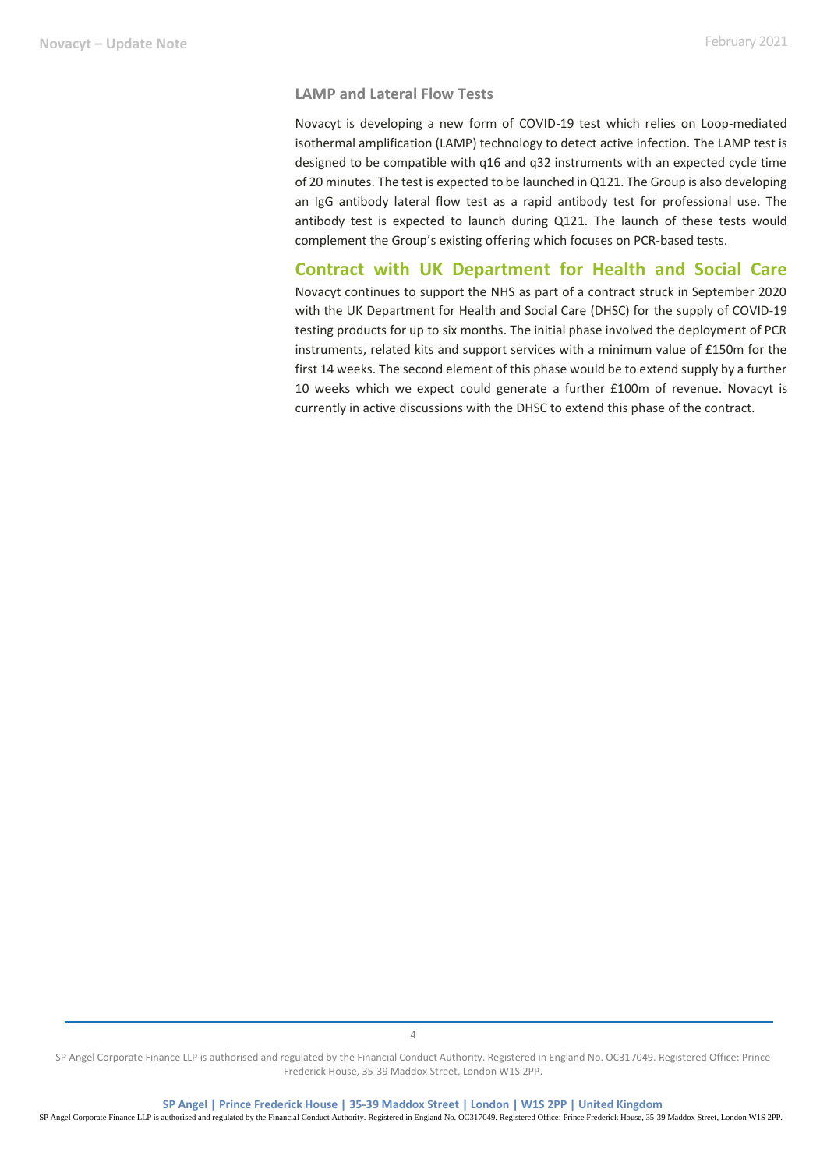#### **LAMP and Lateral Flow Tests**

Novacyt is developing a new form of COVID-19 test which relies on Loop-mediated isothermal amplification (LAMP) technology to detect active infection. The LAMP test is designed to be compatible with q16 and q32 instruments with an expected cycle time of 20 minutes. The test is expected to be launched in Q121. The Group is also developing an IgG antibody lateral flow test as a rapid antibody test for professional use. The antibody test is expected to launch during Q121. The launch of these tests would complement the Group's existing offering which focuses on PCR-based tests.

#### **Contract with UK Department for Health and Social Care**

Novacyt continues to support the NHS as part of a contract struck in September 2020 with the UK Department for Health and Social Care (DHSC) for the supply of COVID-19 testing products for up to six months. The initial phase involved the deployment of PCR instruments, related kits and support services with a minimum value of £150m for the first 14 weeks. The second element of this phase would be to extend supply by a further 10 weeks which we expect could generate a further £100m of revenue. Novacyt is currently in active discussions with the DHSC to extend this phase of the contract.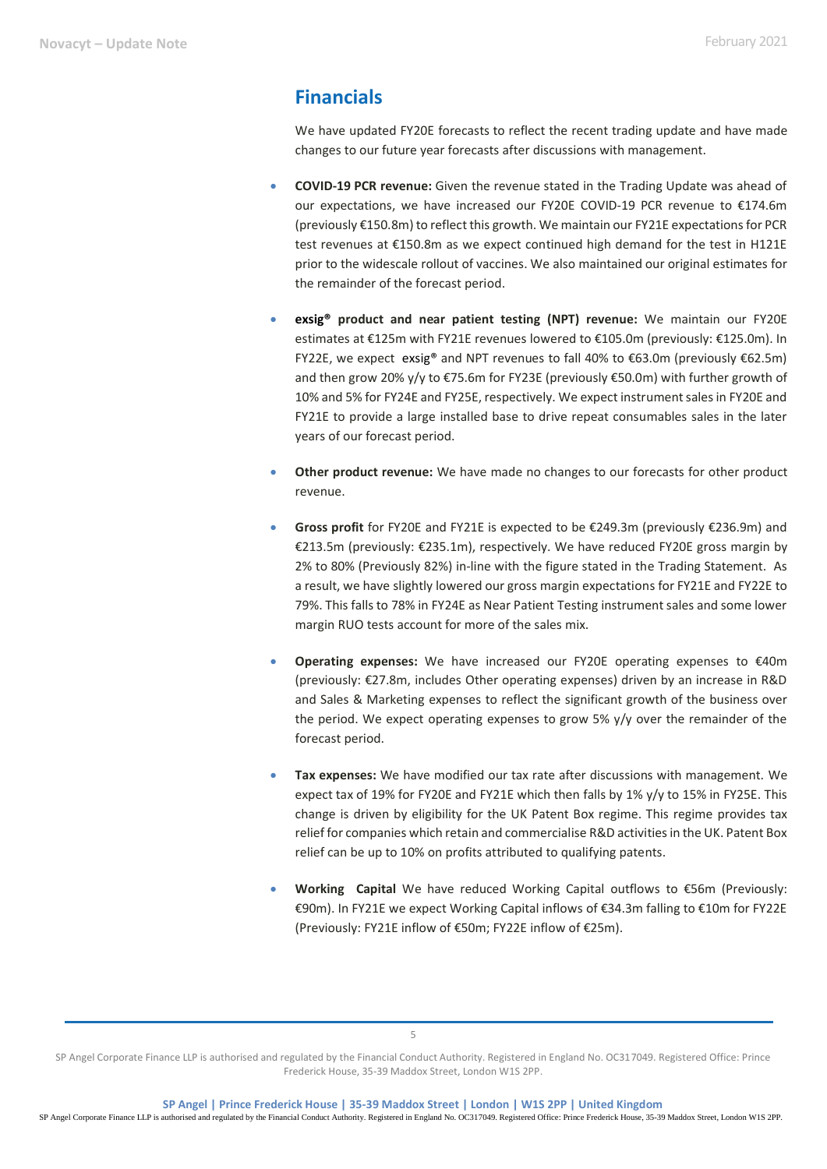## **Financials**

We have updated FY20E forecasts to reflect the recent trading update and have made changes to our future year forecasts after discussions with management.

- **COVID-19 PCR revenue:** Given the revenue stated in the Trading Update was ahead of our expectations, we have increased our FY20E COVID-19 PCR revenue to €174.6m (previously €150.8m) to reflect this growth. We maintain our FY21E expectationsfor PCR test revenues at €150.8m as we expect continued high demand for the test in H121E prior to the widescale rollout of vaccines. We also maintained our original estimates for the remainder of the forecast period.
- **exsig® product and near patient testing (NPT) revenue:** We maintain our FY20E estimates at €125m with FY21E revenues lowered to €105.0m (previously: €125.0m). In FY22E, we expect exsig® and NPT revenues to fall 40% to €63.0m (previously €62.5m) and then grow 20% y/y to €75.6m for FY23E (previously €50.0m) with further growth of 10% and 5% for FY24E and FY25E, respectively. We expect instrument sales in FY20E and FY21E to provide a large installed base to drive repeat consumables sales in the later years of our forecast period.
- **Other product revenue:** We have made no changes to our forecasts for other product revenue.
- **Gross profit** for FY20E and FY21E is expected to be €249.3m (previously €236.9m) and €213.5m (previously: €235.1m), respectively. We have reduced FY20E gross margin by 2% to 80% (Previously 82%) in-line with the figure stated in the Trading Statement. As a result, we have slightly lowered our gross margin expectations for FY21E and FY22E to 79%. This falls to 78% in FY24E as Near Patient Testing instrument sales and some lower margin RUO tests account for more of the sales mix.
- **Operating expenses:** We have increased our FY20E operating expenses to €40m (previously: €27.8m, includes Other operating expenses) driven by an increase in R&D and Sales & Marketing expenses to reflect the significant growth of the business over the period. We expect operating expenses to grow 5% y/y over the remainder of the forecast period.
- **Tax expenses:** We have modified our tax rate after discussions with management. We expect tax of 19% for FY20E and FY21E which then falls by 1% y/y to 15% in FY25E. This change is driven by eligibility for the UK Patent Box regime. This regime provides tax relief for companies which retain and commercialise R&D activities in the UK. Patent Box relief can be up to 10% on profits attributed to qualifying patents.
- **Working Capital** We have reduced Working Capital outflows to €56m (Previously: €90m). In FY21E we expect Working Capital inflows of €34.3m falling to €10m for FY22E (Previously: FY21E inflow of €50m; FY22E inflow of €25m).

SP Angel Corporate Finance LLP is authorised and regulated by the Financial Conduct Authority. Registered in England No. OC317049. Registered Office: Prince Frederick House, 35-39 Maddox Street, London W1S 2PP.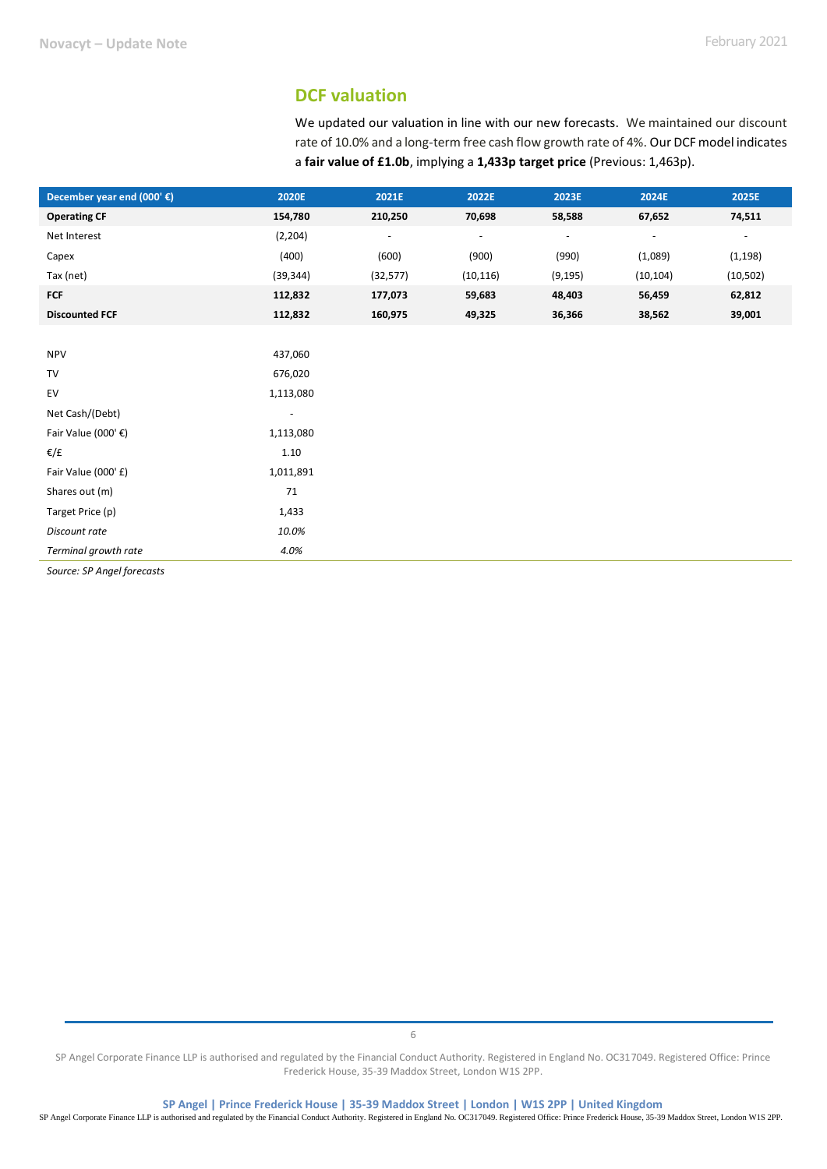### **DCF valuation**

We updated our valuation in line with our new forecasts. We maintained our discount rate of 10.0% and a long-term free cash flow growth rate of 4%. Our DCF model indicates a **fair value of £1.0b**, implying a **1,433p target price** (Previous: 1,463p).

| December year end $(000' \epsilon)$ | 2020E                    | 2021E                    | 2022E                    | 2023E          | 2024E                    | 2025E                    |
|-------------------------------------|--------------------------|--------------------------|--------------------------|----------------|--------------------------|--------------------------|
| <b>Operating CF</b>                 | 154,780                  | 210,250                  | 70,698                   | 58,588         | 67,652                   | 74,511                   |
| Net Interest                        | (2, 204)                 | $\overline{\phantom{a}}$ | $\overline{\phantom{a}}$ | $\blacksquare$ | $\overline{\phantom{a}}$ | $\overline{\phantom{a}}$ |
| Capex                               | (400)                    | (600)                    | (900)                    | (990)          | (1,089)                  | (1, 198)                 |
| Tax (net)                           | (39, 344)                | (32, 577)                | (10, 116)                | (9, 195)       | (10, 104)                | (10, 502)                |
| FCF                                 | 112,832                  | 177,073                  | 59,683                   | 48,403         | 56,459                   | 62,812                   |
| <b>Discounted FCF</b>               | 112,832                  | 160,975                  | 49,325                   | 36,366         | 38,562                   | 39,001                   |
|                                     |                          |                          |                          |                |                          |                          |
| <b>NPV</b>                          | 437,060                  |                          |                          |                |                          |                          |
| TV                                  | 676,020                  |                          |                          |                |                          |                          |
| EV                                  | 1,113,080                |                          |                          |                |                          |                          |
| Net Cash/(Debt)                     | $\overline{\phantom{a}}$ |                          |                          |                |                          |                          |
| Fair Value (000' $\epsilon$ )       | 1,113,080                |                          |                          |                |                          |                          |
| €/£                                 | $1.10\,$                 |                          |                          |                |                          |                          |
| Fair Value (000' £)                 | 1,011,891                |                          |                          |                |                          |                          |
| Shares out (m)                      | 71                       |                          |                          |                |                          |                          |
| Target Price (p)                    | 1,433                    |                          |                          |                |                          |                          |
| Discount rate                       | 10.0%                    |                          |                          |                |                          |                          |
| Terminal growth rate                | 4.0%                     |                          |                          |                |                          |                          |
| Source: SP Angel forecasts          |                          |                          |                          |                |                          |                          |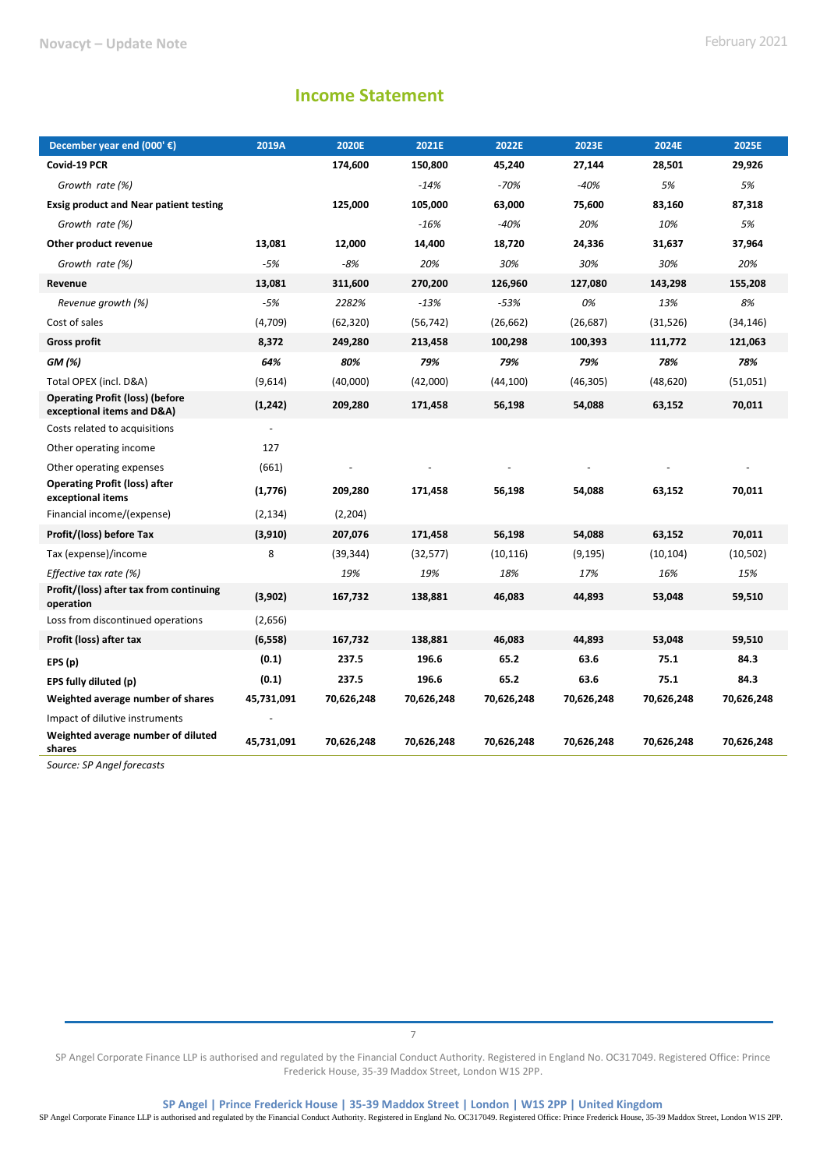## **Income Statement**

| December year end (000' $\epsilon$ )                                 | 2019A      | 2020E      | 2021E      | 2022E      | 2023E      | 2024E      | 2025E      |
|----------------------------------------------------------------------|------------|------------|------------|------------|------------|------------|------------|
| Covid-19 PCR                                                         |            | 174,600    | 150,800    | 45,240     | 27,144     | 28,501     | 29,926     |
| Growth rate (%)                                                      |            |            | $-14%$     | $-70%$     | $-40%$     | 5%         | 5%         |
| <b>Exsig product and Near patient testing</b>                        |            | 125,000    | 105,000    | 63,000     | 75,600     | 83,160     | 87,318     |
| Growth rate (%)                                                      |            |            | $-16%$     | $-40%$     | 20%        | 10%        | 5%         |
| Other product revenue                                                | 13,081     | 12,000     | 14,400     | 18,720     | 24,336     | 31,637     | 37,964     |
| Growth rate (%)                                                      | $-5%$      | $-8%$      | 20%        | 30%        | 30%        | 30%        | 20%        |
| Revenue                                                              | 13,081     | 311,600    | 270,200    | 126,960    | 127,080    | 143,298    | 155,208    |
| Revenue growth (%)                                                   | $-5%$      | 2282%      | $-13%$     | $-53%$     | 0%         | 13%        | 8%         |
| Cost of sales                                                        | (4,709)    | (62, 320)  | (56, 742)  | (26, 662)  | (26, 687)  | (31,526)   | (34, 146)  |
| <b>Gross profit</b>                                                  | 8,372      | 249,280    | 213,458    | 100,298    | 100,393    | 111,772    | 121,063    |
| GM (%)                                                               | 64%        | 80%        | 79%        | 79%        | 79%        | 78%        | 78%        |
| Total OPEX (incl. D&A)                                               | (9,614)    | (40,000)   | (42,000)   | (44, 100)  | (46, 305)  | (48, 620)  | (51,051)   |
| <b>Operating Profit (loss) (before</b><br>exceptional items and D&A) | (1, 242)   | 209,280    | 171,458    | 56,198     | 54,088     | 63,152     | 70,011     |
| Costs related to acquisitions                                        |            |            |            |            |            |            |            |
| Other operating income                                               | 127        |            |            |            |            |            |            |
| Other operating expenses                                             | (661)      |            |            |            |            |            |            |
| <b>Operating Profit (loss) after</b><br>exceptional items            | (1,776)    | 209,280    | 171,458    | 56,198     | 54,088     | 63,152     | 70,011     |
| Financial income/(expense)                                           | (2, 134)   | (2,204)    |            |            |            |            |            |
| Profit/(loss) before Tax                                             | (3,910)    | 207,076    | 171,458    | 56,198     | 54,088     | 63,152     | 70,011     |
| Tax (expense)/income                                                 | 8          | (39, 344)  | (32, 577)  | (10, 116)  | (9, 195)   | (10, 104)  | (10, 502)  |
| Effective tax rate (%)                                               |            | 19%        | 19%        | 18%        | 17%        | 16%        | 15%        |
| Profit/(loss) after tax from continuing<br>operation                 | (3,902)    | 167,732    | 138,881    | 46,083     | 44,893     | 53,048     | 59,510     |
| Loss from discontinued operations                                    | (2,656)    |            |            |            |            |            |            |
| Profit (loss) after tax                                              | (6, 558)   | 167,732    | 138,881    | 46,083     | 44,893     | 53,048     | 59,510     |
| EPS (p)                                                              | (0.1)      | 237.5      | 196.6      | 65.2       | 63.6       | 75.1       | 84.3       |
| EPS fully diluted (p)                                                | (0.1)      | 237.5      | 196.6      | 65.2       | 63.6       | 75.1       | 84.3       |
| Weighted average number of shares                                    | 45,731,091 | 70,626,248 | 70,626,248 | 70,626,248 | 70,626,248 | 70,626,248 | 70,626,248 |
| Impact of dilutive instruments                                       |            |            |            |            |            |            |            |
| Weighted average number of diluted<br>shares                         | 45,731,091 | 70,626,248 | 70,626,248 | 70,626,248 | 70,626,248 | 70,626,248 | 70,626,248 |

*Source: SP Angel forecasts*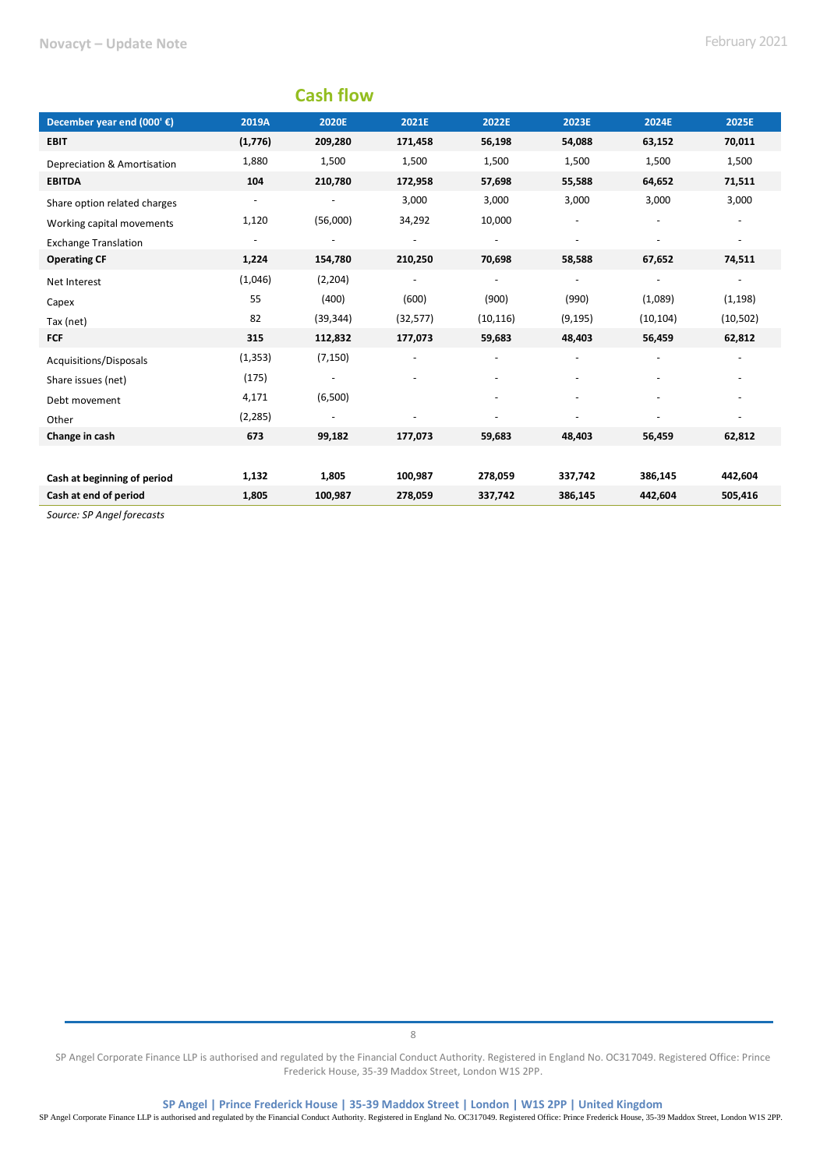|                              |                          | <b>Cash flow</b>         |                          |                          |                          |                          |                          |
|------------------------------|--------------------------|--------------------------|--------------------------|--------------------------|--------------------------|--------------------------|--------------------------|
| December year end (000' €)   | 2019A                    | 2020E                    | 2021E                    | 2022E                    | 2023E                    | 2024E                    | 2025E                    |
| <b>EBIT</b>                  | (1,776)                  | 209,280                  | 171,458                  | 56,198                   | 54,088                   | 63,152                   | 70,011                   |
| Depreciation & Amortisation  | 1,880                    | 1,500                    | 1,500                    | 1,500                    | 1,500                    | 1,500                    | 1,500                    |
| <b>EBITDA</b>                | 104                      | 210,780                  | 172,958                  | 57,698                   | 55,588                   | 64,652                   | 71,511                   |
| Share option related charges | $\overline{\phantom{a}}$ |                          | 3,000                    | 3,000                    | 3,000                    | 3,000                    | 3,000                    |
| Working capital movements    | 1,120                    | (56,000)                 | 34,292                   | 10,000                   |                          | $\overline{\phantom{a}}$ | $\overline{\phantom{a}}$ |
| <b>Exchange Translation</b>  |                          |                          |                          |                          |                          |                          | $\blacksquare$           |
| <b>Operating CF</b>          | 1,224                    | 154,780                  | 210,250                  | 70,698                   | 58,588                   | 67,652                   | 74,511                   |
| Net Interest                 | (1,046)                  | (2, 204)                 | $\overline{\phantom{a}}$ | $\overline{\phantom{a}}$ | $\blacksquare$           | $\overline{\phantom{a}}$ | $\blacksquare$           |
| Capex                        | 55                       | (400)                    | (600)                    | (900)                    | (990)                    | (1,089)                  | (1, 198)                 |
| Tax (net)                    | 82                       | (39, 344)                | (32, 577)                | (10, 116)                | (9, 195)                 | (10, 104)                | (10, 502)                |
| FCF                          | 315                      | 112,832                  | 177,073                  | 59,683                   | 48,403                   | 56,459                   | 62,812                   |
| Acquisitions/Disposals       | (1, 353)                 | (7, 150)                 |                          |                          | $\overline{\phantom{a}}$ | $\overline{\phantom{a}}$ | $\overline{\phantom{a}}$ |
| Share issues (net)           | (175)                    | $\overline{\phantom{a}}$ |                          |                          |                          | $\overline{\phantom{a}}$ | $\overline{\phantom{a}}$ |
| Debt movement                | 4,171                    | (6,500)                  |                          |                          |                          |                          | $\overline{\phantom{a}}$ |
| Other                        | (2, 285)                 | $\overline{\phantom{a}}$ |                          |                          |                          |                          | $\overline{\phantom{a}}$ |
| Change in cash               | 673                      | 99,182                   | 177,073                  | 59,683                   | 48,403                   | 56,459                   | 62,812                   |
|                              |                          |                          |                          |                          |                          |                          |                          |
| Cash at beginning of period  | 1,132                    | 1,805                    | 100,987                  | 278,059                  | 337,742                  | 386,145                  | 442,604                  |
| Cash at end of period        | 1,805                    | 100,987                  | 278,059                  | 337,742                  | 386,145                  | 442,604                  | 505,416                  |

*Source: SP Angel forecasts*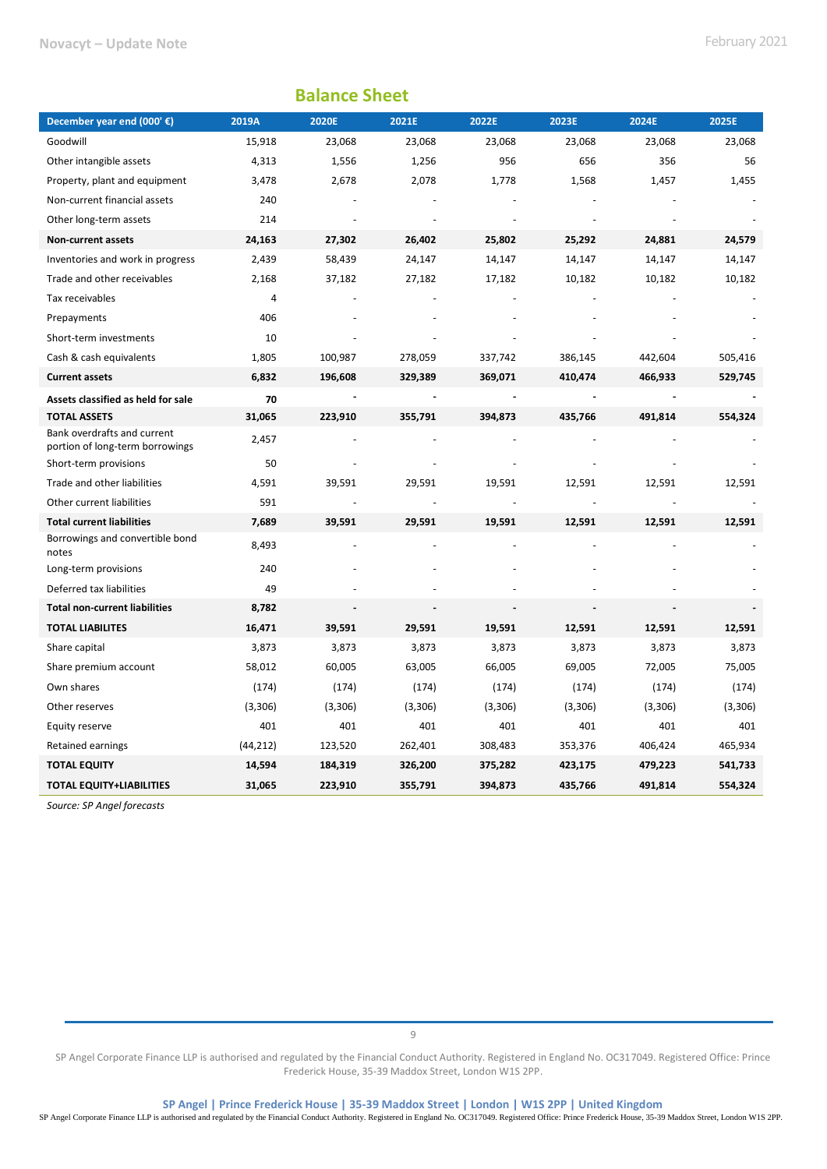$\overline{\phantom{a}}$ 

| <b>Balance Sheet</b>                                           |           |              |         |         |         |         |         |  |
|----------------------------------------------------------------|-----------|--------------|---------|---------|---------|---------|---------|--|
| December year end (000' €)                                     | 2019A     | <b>2020E</b> | 2021E   | 2022E   | 2023E   | 2024E   | 2025E   |  |
| Goodwill                                                       | 15,918    | 23,068       | 23,068  | 23,068  | 23,068  | 23,068  | 23,068  |  |
| Other intangible assets                                        | 4,313     | 1,556        | 1,256   | 956     | 656     | 356     | 56      |  |
| Property, plant and equipment                                  | 3,478     | 2,678        | 2,078   | 1,778   | 1,568   | 1,457   | 1,455   |  |
| Non-current financial assets                                   | 240       |              |         |         |         |         |         |  |
| Other long-term assets                                         | 214       |              |         |         |         |         |         |  |
| Non-current assets                                             | 24,163    | 27,302       | 26,402  | 25,802  | 25,292  | 24,881  | 24,579  |  |
| Inventories and work in progress                               | 2,439     | 58,439       | 24,147  | 14,147  | 14,147  | 14,147  | 14,147  |  |
| Trade and other receivables                                    | 2,168     | 37,182       | 27,182  | 17,182  | 10,182  | 10,182  | 10,182  |  |
| Tax receivables                                                | 4         |              |         |         |         |         |         |  |
| Prepayments                                                    | 406       |              |         |         |         |         |         |  |
| Short-term investments                                         | 10        |              |         |         |         |         |         |  |
| Cash & cash equivalents                                        | 1,805     | 100,987      | 278,059 | 337,742 | 386,145 | 442,604 | 505,416 |  |
| <b>Current assets</b>                                          | 6,832     | 196,608      | 329,389 | 369,071 | 410,474 | 466,933 | 529,745 |  |
| Assets classified as held for sale                             | 70        |              |         |         |         |         |         |  |
| <b>TOTAL ASSETS</b>                                            | 31,065    | 223,910      | 355,791 | 394,873 | 435,766 | 491,814 | 554,324 |  |
| Bank overdrafts and current<br>portion of long-term borrowings | 2,457     |              |         |         |         |         |         |  |
| Short-term provisions                                          | 50        |              |         |         |         |         |         |  |
| Trade and other liabilities                                    | 4,591     | 39,591       | 29,591  | 19,591  | 12,591  | 12,591  | 12,591  |  |
| Other current liabilities                                      | 591       |              |         |         |         |         |         |  |
| <b>Total current liabilities</b>                               | 7,689     | 39,591       | 29,591  | 19,591  | 12,591  | 12,591  | 12,591  |  |
| Borrowings and convertible bond<br>notes                       | 8,493     |              |         |         |         |         |         |  |
| Long-term provisions                                           | 240       |              |         |         |         |         |         |  |
| Deferred tax liabilities                                       | 49        |              |         |         |         |         |         |  |
| <b>Total non-current liabilities</b>                           | 8,782     |              |         |         |         |         |         |  |
| <b>TOTAL LIABILITES</b>                                        | 16,471    | 39,591       | 29,591  | 19,591  | 12,591  | 12,591  | 12,591  |  |
| Share capital                                                  | 3,873     | 3,873        | 3,873   | 3,873   | 3,873   | 3,873   | 3,873   |  |
| Share premium account                                          | 58,012    | 60,005       | 63,005  | 66,005  | 69,005  | 72,005  | 75,005  |  |
| Own shares                                                     | (174)     | (174)        | (174)   | (174)   | (174)   | (174)   | (174)   |  |
| Other reserves                                                 | (3,306)   | (3,306)      | (3,306) | (3,306) | (3,306) | (3,306) | (3,306) |  |
| Equity reserve                                                 | 401       | 401          | 401     | 401     | 401     | 401     | 401     |  |
| Retained earnings                                              | (44, 212) | 123,520      | 262,401 | 308,483 | 353,376 | 406,424 | 465,934 |  |
| <b>TOTAL EQUITY</b>                                            | 14,594    | 184,319      | 326,200 | 375,282 | 423,175 | 479,223 | 541,733 |  |
| <b>TOTAL EQUITY+LIABILITIES</b>                                | 31,065    | 223,910      | 355,791 | 394,873 | 435,766 | 491,814 | 554,324 |  |

*Source: SP Angel forecasts*

SP Angel Corporate Finance LLP is authorised and regulated by the Financial Conduct Authority. Registered in England No. OC317049. Registered Office: Prince Frederick House, 35-39 Maddox Street, London W1S 2PP.

**SP Angel | Prince Frederick House | 35-39 Maddox Street | London | W1S 2PP | United Kingdom**